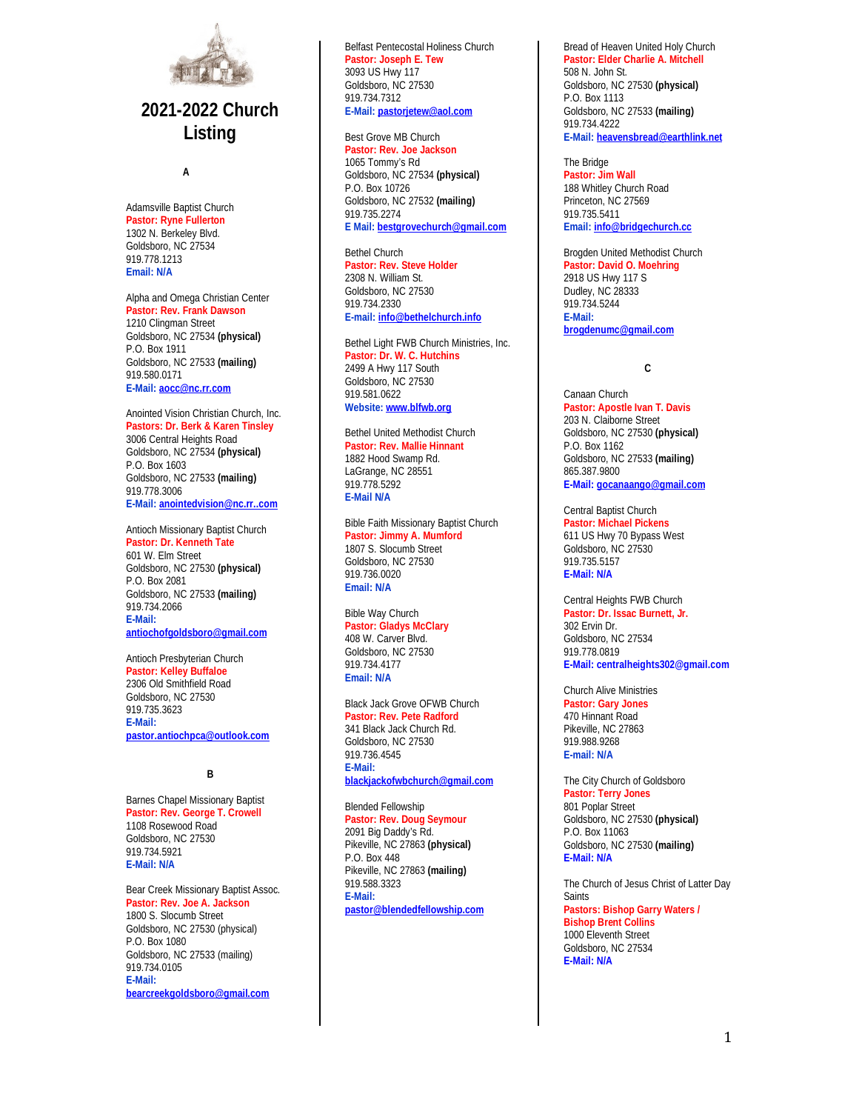

# **2021-2022 Church Listing**

**<sup>A</sup>**

Adamsville Baptist Church **Pastor: Ryne Fullerton** 1302 N. Berkeley Blvd. Goldsboro, NC 27534 919.778.1213 **Email: N/A**

Alpha and Omega Christian Center **Pastor: Rev. Frank Dawson** 1210 Clingman Street Goldsboro, NC 27534 **(physical)** P.O. Box 1911 Goldsboro, NC 27533 **(mailing)** 919.580.0171

**E-Mail[: aocc@nc.rr.com](mailto:aocc@nc.rr.com)**

Anointed Vision Christian Church, Inc. **Pastors: Dr. Berk & Karen Tinsley** 3006 Central Heights Road Goldsboro, NC 27534 **(physical)** P.O. Box 1603 Goldsboro, NC 27533 **(mailing)** 919.778.3006 **E-Mail[: anointedvision@nc.rr..com](mailto:anointedvision@nc.rr..com)**

Antioch Missionary Baptist Church **Pastor: Dr. Kenneth Tate** 601 W. Elm Street Goldsboro, NC 27530 **(physical)** P.O. Box 2081 Goldsboro, NC 27533 **(mailing)** 919.734.2066 **E-Mail: [antiochofgoldsboro@gmail.com](mailto:antiochofgoldsboro@gmail.com)**

Antioch Presbyterian Church **Pastor: Kelley Buffaloe** 2306 Old Smithfield Road Goldsboro, NC 27530 010.735.3623 **E-Mail: [pastor.antiochpca@outlook.com](mailto:pastor.antiochpca@outlook.com)**

**B**

Barnes Chapel Missionary Baptist **Pastor: Rev. George T. Crowell** 1108 Rosewood Road Goldsboro, NC 27530 919.734.5921 **E-Mail: N/A**

Bear Creek Missionary Baptist Assoc. **Pastor: Rev. Joe A. Jackson** 1800 S. Slocumb Street Goldsboro, NC 27530 (physical) P.O. Box 1080 Goldsboro, NC 27533 (mailing) 919.734.0105 **E-Mail: [bearcreekgoldsboro@gmail.com](mailto:bearcreekgoldsboro@gmail.com)**

Belfast Pentecostal Holiness Church **Pastor: Joseph E. Tew** 3093 US Hwy 117 Goldsboro, NC 27530 919.734.7312 **E-Mail[: pastorjetew@aol.com](mailto:pastorjetew@aol.com)**

Best Grove MB Church

**Pastor: Rev. Joe Jackson** 1065 Tommy's Rd Goldsboro, NC 27534 **(physical)** P.O. Box 10726 Goldsboro, NC 27532 **(mailing)** 919.735.2274 **E Mail: [bestgrovechurch@gmail.com](mailto:bestgrovechurch@gmail.com)**

Bethel Church **Pastor: Rev. Steve Holder** 2308 N. William St. Goldsboro, NC 27530 919.734.2330 **E-mail: [info@bethelchurch.info](mailto:info@bethelchurch.info)**

Bethel Light FWB Church Ministries, Inc. **Pastor: Dr. W. C. Hutchins** 2499 A Hwy 117 South Goldsboro, NC 27530 919.581.0622 **Website[: www.blfwb.org](http://www.blfwb.org/)**

Bethel United Methodist Church **Pastor: Rev. Mallie Hinnant** 1882 Hood Swamp Rd. LaGrange, NC 28551 919.778.5292 **E-Mail N/A**

Bible Faith Missionary Baptist Church **Pastor: Jimmy A. Mumford** 1807 S. Slocumb Street Goldsboro, NC 27530 919.736.0020 **Email: N/A**

Bible Way Church **Pastor: Gladys McClary** 408 W. Carver Blvd. Goldsboro, NC 27530 919.734.4177 **Email: N/A**

Black Jack Grove OFWB Church **Pastor: Rev. Pete Radford** 341 Black Jack Church Rd. Goldsboro, NC 27530 919.736.4545 **E-Mail: [blackjackofwbchurch@gmail.com](mailto:blackjackofwbchurch@gmail.com)**

Blended Fellowship **Pastor: Rev. Doug Seymour** 2091 Big Daddy's Rd. Pikeville, NC 27863 **(physical)** P.O. Box 448 Pikeville, NC 27863 **(mailing)** 919.588.3323 **E-Mail: [pastor@blendedfellowship.com](mailto:pastor@blendedfellowship.com)** Bread of Heaven United Holy Church **Pastor: Elder Charlie A. Mitchell** 508 N. John St. Goldsboro, NC 27530 **(physical)** P.O. Box 1113 Goldsboro, NC 27533 **(mailing)** 919.734.4222 **E-Mail[: heavensbread@earthlink.net](mailto:heavensbread@earthlink.net)**

The Bridge **Pastor: Jim Wall** 188 Whitley Church Road Princeton, NC 27569 919.735.5411 **Email[: info@bridgechurch.cc](mailto:info@bridgechurch.cc)**

Brogden United Methodist Church **Pastor: David O. Moehring** 2918 US Hwy 117 S Dudley, NC 28333 919.734.5244 **E-Mail: [brogdenumc@gmail.com](mailto:brogdenumc@gmail.com)**

**C**

Canaan Church **Pastor: Apostle Ivan T. Davis** 203 N. Claiborne Street Goldsboro, NC 27530 **(physical)** P.O. Box 1162 Goldsboro, NC 27533 **(mailing)** 865.387.9800 **E-Mail[: gocanaango@gmail.com](mailto:gocanaango@gmail.com)**

Central Baptist Church **Pastor: Michael Pickens** 611 US Hwy 70 Bypass West Goldsboro, NC 27530 919.735.5157 **E-Mail: N/A**

Central Heights FWB Church **Pastor: Dr. Issac Burnett, Jr.** 302 Ervin Dr. Goldsboro, NC 27534 919.778.0819 **E-Mail: [centralheights302@gmail.com](mailto:centralheights302@gmail.com)**

Church Alive Ministries **Pastor: Gary Jones** 470 Hinnant Road Pikeville, NC 27863 919.988.9268 **E-mail: N/A**

The City Church of Goldsboro **Pastor: Terry Jones** 801 Poplar Street Goldsboro, NC 27530 **(physical)** P.O. Box 11063 Goldsboro, NC 27530 **(mailing) E-Mail: N/A**

The Church of Jesus Christ of Latter Day **Saints Pastors: Bishop Garry Waters / Bishop Brent Collins** 1000 Eleventh Street Goldsboro, NC 27534 **E-Mail: N/A**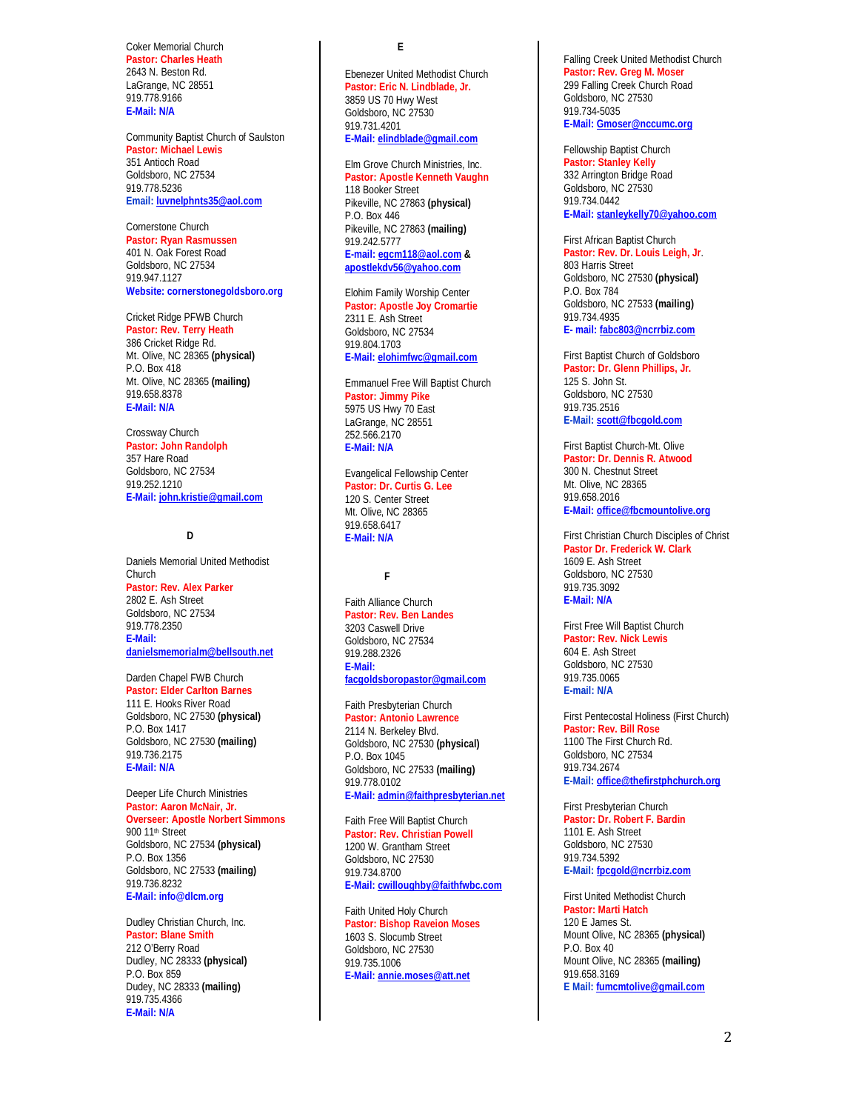Coker Memorial Church **Pastor: Charles Heath** 2643 N. Beston Rd. LaGrange, NC 28551 919.778.9166 **E-Mail: N/A**

Community Baptist Church of Saulston **Pastor: Michael Lewis** 351 Antioch Road Goldsboro, NC 27534 919.778.5236 **Email[: luvnelphnts35@aol.com](mailto:luvnelphnts35@aol.com)**

Cornerstone Church **Pastor: Ryan Rasmussen** 401 N. Oak Forest Road Goldsboro, NC 27534 919.947.1127 **Website: cornerstonegoldsboro.org**

Cricket Ridge PFWB Church **Pastor: Rev. Terry Heath** 386 Cricket Ridge Rd. Mt. Olive, NC 28365 **(physical)** P.O. Box 418 Mt. Olive, NC 28365 **(mailing)** 919.658.8378 **E-Mail: N/A**

Crossway Church **Pastor: John Randolph** 357 Hare Road Goldsboro, NC 27534 919.252.1210 **E-Mail[: john.kristie@gmail.com](mailto:john.kristie@gmail.com)**

**D**

Daniels Memorial United Methodist Church **Pastor: Rev. Alex Parker** 2802 E. Ash Street Goldsboro, NC 27534 919.778.2350 **E-Mail: [danielsmemorialm@bellsouth.net](mailto:danielsmemorialm@bellsouth.net)**

Darden Chapel FWB Church **Pastor: Elder Carlton Barnes** 111 E. Hooks River Road Goldsboro, NC 27530 **(physical)** P.O. Box 1417 Goldsboro, NC 27530 **(mailing)** 919.736.2175 **E-Mail: N/A**

Deeper Life Church Ministries **Pastor: Aaron McNair, Jr. Overseer: Apostle Norbert Simmons** 900 11<sup>th</sup> Street Goldsboro, NC 27534 **(physical)** P.O. Box 1356 Goldsboro, NC 27533 **(mailing)** 919.736.8232 **E-Mail: [info@dlcm.org](mailto:info@dlcm.org)**

Dudley Christian Church, Inc. **Pastor: Blane Smith** 212 O'Berry Road Dudley, NC 28333 **(physical)** P.O. Box 859 Dudey, NC 28333 **(mailing)** 919.735.4366 **E-Mail: N/A**

# **E**

Ebenezer United Methodist Church **Pastor: Eric N. Lindblade, Jr.** 3859 US 70 Hwy West Goldsboro, NC 27530 919.731.4201 **E-Mail[: elindblade@gmail.com](mailto:elindblade@gmail.com)**

#### Elm Grove Church Ministries, Inc. **Pastor: Apostle Kenneth Vaughn** 118 Booker Street Pikeville, NC 27863 **(physical)** P.O. Box 446

Pikeville, NC 27863 **(mailing)** 919.242.5777 **E-mail: [egcm118@aol.com](mailto:egcm118@aol.com) & [apostlekdv56@yahoo.com](mailto:apostlekdv56@yahoo.com)**

Elohim Family Worship Center **Pastor: Apostle Joy Cromartie** 2311 E. Ash Street Goldsboro, NC 27534 919.804.1703 **E-Mail[: elohimfwc@gmail.com](mailto:elohimfwc@gmail.com)**

Emmanuel Free Will Baptist Church **Pastor: Jimmy Pike** 5975 US Hwy 70 East LaGrange, NC 28551 252.566.2170 **E-Mail: N/A**

Evangelical Fellowship Center **Pastor: Dr. Curtis G. Lee** 120 S. Center Street Mt. Olive, NC 28365 919.658.6417 **E-Mail: N/A**

### **F**

Faith Alliance Church **Pastor: Rev. Ben Landes** 3203 Caswell Drive Goldsboro, NC 27534 919.288.2326 **E-Mail: [facgoldsboropastor@gmail.com](mailto:facgoldsboropastor@gmail.com)**

Faith Presbyterian Church **Pastor: Antonio Lawrence** 2114 N. Berkeley Blvd. Goldsboro, NC 27530 **(physical)** P.O. Box 1045 Goldsboro, NC 27533 **(mailing)** 919.778.0102 **E-Mail[: admin@faithpresbyterian.net](mailto:admin@faithpresbyterian.net)**

Faith Free Will Baptist Church **Pastor: Rev. Christian Powell** 1200 W. Grantham Street Goldsboro, NC 27530 919.734.8700 **E-Mail[: cwilloughby@faithfwbc.com](mailto:cwilloughby@faithfwbc.com)**

Faith United Holy Church **Pastor: Bishop Raveion Moses** 1603 S. Slocumb Street Goldsboro, NC 27530 919.735.1006 **E-Mail[: annie.moses@att.net](mailto:annie.moses@att.net)**

Falling Creek United Methodist Church **Pastor: Rev. Greg M. Moser** 299 Falling Creek Church Road Goldsboro, NC 27530 919.734-5035 **E-Mail: [Gmoser@nccumc.org](mailto:Gmoser@nccumc.org)**

Fellowship Baptist Church **Pastor: Stanley Kelly** 332 Arrington Bridge Road Goldsboro, NC 27530 919.734.0442 **E-Mail[: stanleykelly70@yahoo.com](mailto:stanleykelly70@yahoo.com)**

First African Baptist Church **Pastor: Rev. Dr. Louis Leigh, Jr**. 803 Harris Street Goldsboro, NC 27530 **(physical)** P.O. Box 784 Goldsboro, NC 27533 **(mailing)** 919.734.4935 **E- mail: [fabc803@ncrrbiz.com](mailto:fabc803@ncrrbiz.com)**

First Baptist Church of Goldsboro **Pastor: Dr. Glenn Phillips, Jr.** 125 S. John St. Goldsboro, NC 27530 919.735.2516 **E-Mail: [scott@fbcgold.com](mailto:scott@fbcgold.com)**

First Baptist Church-Mt. Olive **Pastor: Dr. Dennis R. Atwood** 300 N. Chestnut Street Mt. Olive, NC 28365 919.658.2016 **E-Mail[: office@fbcmountolive.org](mailto:office@fbcmountolive.org)**

First Christian Church Disciples of Christ **Pastor Dr. Frederick W. Clark** 1609 E. Ash Street Goldsboro, NC 27530 919.735.3092 **E-Mail: N/A**

First Free Will Baptist Church **Pastor: Rev. Nick Lewis** 604 E. Ash Street Goldsboro, NC 27530 919.735.0065 **E-mail: N/A**

First Pentecostal Holiness (First Church) **Pastor: Rev. Bill Rose** 1100 The First Church Rd. Goldsboro, NC 27534 919.734.2674 **E-Mail[: office@thefirstphchurch.org](mailto:office@thefirstphchurch.org)**

First Presbyterian Church **Pastor: Dr. Robert F. Bardin** 1101 E. Ash Street Goldsboro, NC 27530 919.734.5392 **E-Mail[: fpcgold@ncrrbiz.com](mailto:fpcgold@ncrrbiz.com)**

First United Methodist Church **Pastor: Marti Hatch** 120 E James St. Mount Olive, NC 28365 **(physical)** P.O. Box 40 Mount Olive, NC 28365 **(mailing)** 919.658.3169 **E Mail: [fumcmtolive@gmail.com](mailto:fumcmtolive@gmail.com)**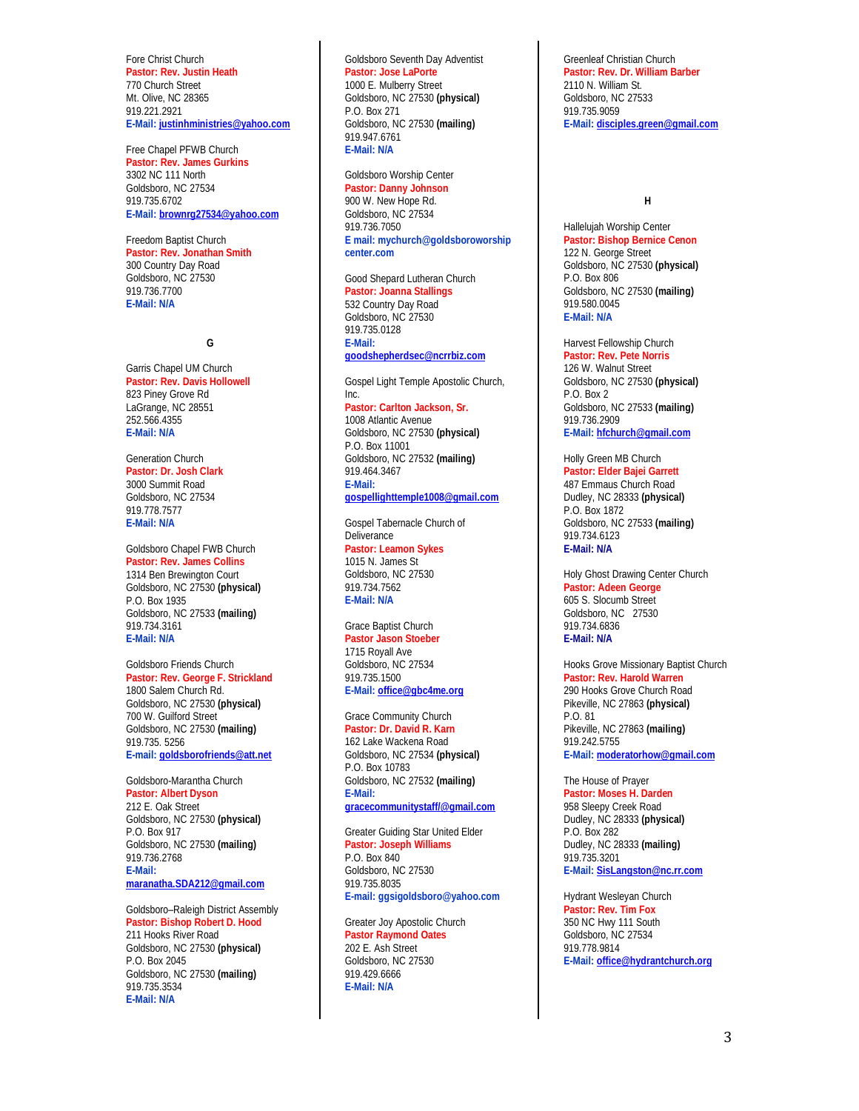Fore Christ Church **Pastor: Rev. Justin Heath** 770 Church Street Mt. Olive, NC 28365 919.221.2921 **E-Mail[: justinhministries@yahoo.com](mailto:justinhministries@yahoo.com)**

Free Chapel PFWB Church **Pastor: Rev. James Gurkins** 3302 NC 111 North Goldsboro, NC 27534 919.735.6702 **E-Mail[: brownrg27534@yahoo.com](mailto:brownrg27534@yahoo.com)**

Freedom Baptist Church **Pastor: Rev. Jonathan Smith** 300 Country Day Road Goldsboro, NC 27530 919.736.7700 **E-Mail: N/A**

#### **G**

Garris Chapel UM Church **Pastor: Rev. Davis Hollowell** 823 Piney Grove Rd LaGrange, NC 28551 252.566.4355 **E-Mail: N/A**

Generation Church **Pastor: Dr. Josh Clark** 3000 Summit Road Goldsboro, NC 27534 919.778.7577 **E-Mail: N/A**

Goldsboro Chapel FWB Church **Pastor: Rev. James Collins** 1314 Ben Brewington Court Goldsboro, NC 27530 **(physical)** P.O. Box 1935 Goldsboro, NC 27533 **(mailing)** 919.734.3161 **E-Mail: N/A**

Goldsboro Friends Church **Pastor: Rev. George F. Strickland** 1800 Salem Church Rd. Goldsboro, NC 27530 **(physical)** 700 W. Guilford Street Goldsboro, NC 27530 **(mailing)** 919.735. 5256 **E-mail: [goldsborofriends@a](mailto:goldsborofriends@)tt.net**

Goldsboro-Marantha Church **Pastor: Albert Dyson** 212 E. Oak Street Goldsboro, NC 27530 **(physical)** P.O. Box 917 Goldsboro, NC 27530 **(mailing)** 919.736.2768 **E-Mail: [maranatha.SDA212@gmail.com](mailto:maranatha.SDA212@gmail.com)**

Goldsboro–Raleigh District Assembly **Pastor: Bishop Robert D. Hood** 211 Hooks River Road Goldsboro, NC 27530 **(physical)** P.O. Box 2045 Goldsboro, NC 27530 **(mailing)** 919.735.3534 **E-Mail: N/A**

#### Goldsboro Seventh Day Adventist **Pastor: Jose LaPorte** 1000 E. Mulberry Street

Goldsboro, NC 27530 **(physical)** P.O. Box 271 Goldsboro, NC 27530 **(mailing)** 919.947.6761 **E-Mail: N/A**

Goldsboro Worship Center **Pastor: Danny Johnson** 900 W. New Hope Rd. Goldsboro, NC 27534 919.736.7050 **E mail: mychurch@goldsboroworship** 

**center.com**

Good Shepard Lutheran Church **Pastor: Joanna Stallings** 532 Country Day Road Goldsboro, NC 27530 919.735.0128 **E-Mail: [goodshepherdsec@ncrrbiz.com](mailto:goodshepherdsec@ncrrbiz.com)**

Gospel Light Temple Apostolic Church, Inc. **Pastor: Carlton Jackson, Sr.** 1008 Atlantic Avenue

Goldsboro, NC 27530 **(physical)** P.O. Box 11001 Goldsboro, NC 27532 **(mailing)** 919.464.3467 **E-Mail: [gospellighttemple1008@gmail.com](mailto:gospellighttemple1008@gmail.com)**

Gospel Tabernacle Church of **Deliverance Pastor: Leamon Sykes** 1015 N. James St Goldsboro, NC 27530 919.734.7562 **E-Mail: N/A**

#### Grace Baptist Church **Pastor Jason Stoeber**

1715 Royall Ave Goldsboro, NC 27534 919.735.1500 **E-Mail[: office@gbc4me.org](mailto:office@gbc4me.org)**

# Grace Community Church

**Pastor: Dr. David R. Karn** 162 Lake Wackena Road Goldsboro, NC 27534 **(physical)** P.O. Box 10783 Goldsboro, NC 27532 **(mailing) E-Mail: [gracecommunitystaff/@gmail.com](mailto:gracecommunitystaff/@gmail.com)**

Greater Guiding Star United Elder **Pastor: Joseph Williams** P.O. Box 840 Goldsboro, NC 27530 919.735.8035 **E-mail[: ggsigoldsboro@yahoo.com](mailto:ggsigoldsboro@yahoo.com)**

Greater Joy Apostolic Church **Pastor Raymond Oates** 202 E. Ash Street Goldsboro, NC 27530 919.429.6666 **E-Mail: N/A**

Greenleaf Christian Church **Pastor: Rev. Dr. William Barber**  2110 N. William St. Goldsboro, NC 27533 919.735.9059 **E-Mail[: disciples.green@gmail.com](mailto:disciples.green@gmail.com)**

#### **H**

Hallelujah Worship Center **Pastor: Bishop Bernice Cenon** 122 N. George Street Goldsboro, NC 27530 **(physical)** P.O. Box 806 Goldsboro, NC 27530 **(mailing)** 919.580.0045 **E-Mail: N/A**

Harvest Fellowship Church **Pastor: Rev. Pete Norris**  126 W. Walnut Street Goldsboro, NC 27530 **(physical)** P.O. Box 2 Goldsboro, NC 27533 **(mailing)** 919.736.2909 **E-Mail[: hfchurch@gmail.com](mailto:hfchurch@gmail.com)**

Holly Green MB Church **Pastor: Elder Bajei Garrett**  487 Emmaus Church Road Dudley, NC 28333 **(physical)** P.O. Box 1872 Goldsboro, NC 27533 **(mailing)** 919.734.6123 **E-Mail: N/A**

Holy Ghost Drawing Center Church **Pastor: Adeen George** 605 S. Slocumb Street Goldsboro, NC 27530 919.734.6836 **E-Mail: N/A**

Hooks Grove Missionary Baptist Church **Pastor: Rev. Harold Warren** 290 Hooks Grove Church Road Pikeville, NC 27863 **(physical)** P.O. 81 Pikeville, NC 27863 **(mailing)** 919.242.5755 **E-Mail[: moderatorhow@gmail.com](mailto:moderatorhow@gmail.com)**

The House of Prayer **Pastor: Moses H. Darden** 958 Sleepy Creek Road Dudley, NC 28333 **(physical)** P.O. Box 282 Dudley, NC 28333 **(mailing)** 919.735.3201 **E-Mail[: SisLangston@nc.rr.com](mailto:SisLangston@nc.rr.com)**

Hydrant Wesleyan Church **Pastor: Rev. Tim Fox** 350 NC Hwy 111 South Goldsboro, NC 27534 919.778.9814 **E-Mail[: office@hydrantchurch.org](mailto:office@hydrantchurch.org)**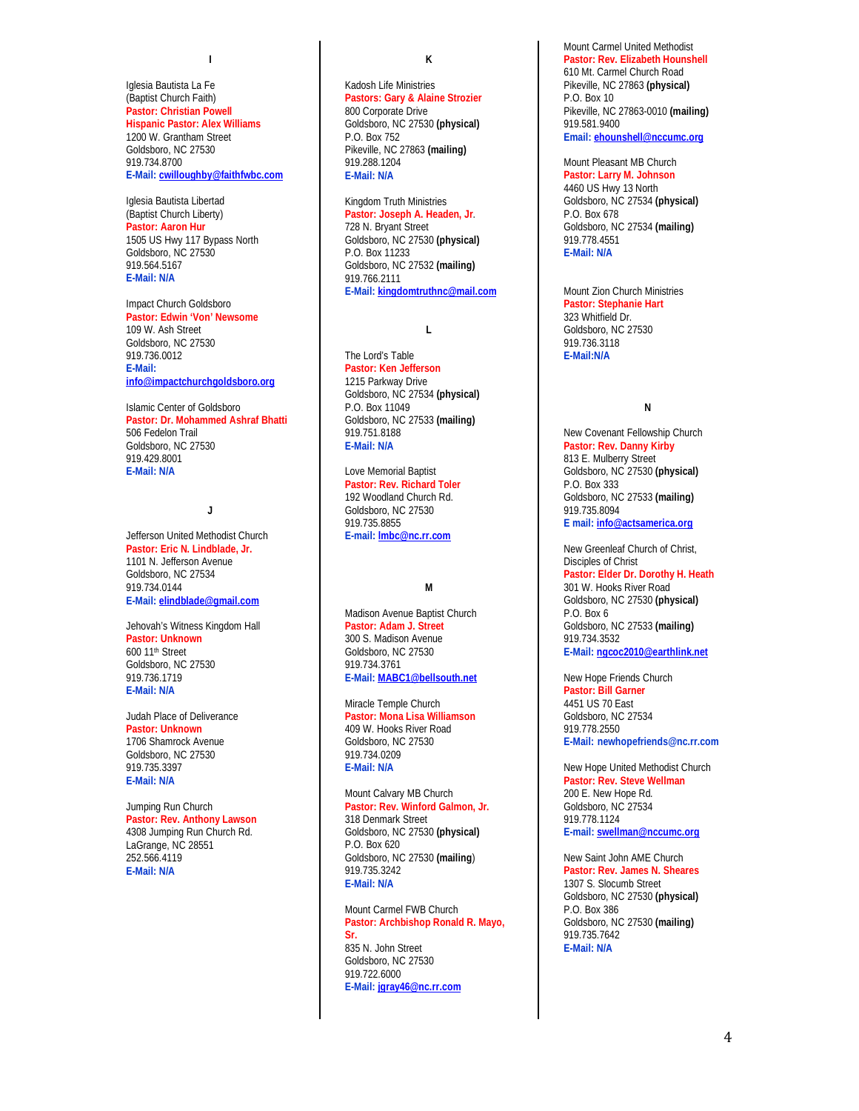**I**

Iglesia Bautista La Fe (Baptist Church Faith) **Pastor: Christian Powell Hispanic Pastor: Alex Williams** 1200 W. Grantham Street Goldsboro, NC 27530 919.734.8700 **E-Mail[: cwilloughby@faithfwbc.com](mailto:cwilloughby@faithfwbc.com)**

Iglesia Bautista Libertad (Baptist Church Liberty) **Pastor: Aaron Hur** 1505 US Hwy 117 Bypass North Goldsboro, NC 27530 919.564.5167 **E-Mail: N/A**

Impact Church Goldsboro **Pastor: Edwin 'Von' Newsome** 109 W. Ash Street Goldsboro, NC 27530 919.736.0012 **E-Mail: [info@impactchurchgoldsboro.org](mailto:info@impactchurchgoldsboro.org)**

Islamic Center of Goldsboro **Pastor: Dr. Mohammed Ashraf Bhatti** 506 Fedelon Trail Goldsboro, NC 27530 919.429.8001 **E-Mail: N/A**

### **J**

Jefferson United Methodist Church **Pastor: Eric N. Lindblade, Jr.**  1101 N. Jefferson Avenue Goldsboro, NC 27534 919.734.0144 **E-Mail[: elindblade@gmail.com](mailto:elindblade@gmail.com)**

Jehovah's Witness Kingdom Hall **Pastor: Unknown** 600 11th Street Goldsboro, NC 27530 919.736.1719 **E-Mail: N/A**

Judah Place of Deliverance **Pastor: Unknown** 1706 Shamrock Avenue Goldsboro, NC 27530 919.735.3397 **E-Mail: N/A**

Jumping Run Church **Pastor: Rev. Anthony Lawson** 4308 Jumping Run Church Rd. LaGrange, NC 28551 252.566.4119 **E-Mail: N/A**

**K**

Kadosh Life Ministries **Pastors: Gary & Alaine Strozier** 800 Corporate Drive Goldsboro, NC 27530 **(physical)** P.O. Box 752 Pikeville, NC 27863 **(mailing)** 919.288.1204 **E-Mail: N/A**

Kingdom Truth Ministries **Pastor: Joseph A. Headen, Jr**. 728 N. Bryant Street Goldsboro, NC 27530 **(physical)** P.O. Box 11233 Goldsboro, NC 27532 **(mailing)** 919.766.2111 **E-Mail: [kingdomtruthnc@mail.com](mailto:kingdomtruthnc@mail.com)**

**L**

The Lord's Table **Pastor: Ken Jefferson** 1215 Parkway Drive Goldsboro, NC 27534 **(physical)** P.O. Box 11049 Goldsboro, NC 27533 **(mailing)** 919.751.8188 **E-Mail: N/A**

Love Memorial Baptist **Pastor: Rev. Richard Toler** 192 Woodland Church Rd. Goldsboro, NC 27530 919.735.8855 **E-mail: [lmbc@nc.rr.com](mailto:lmbc@nc.rr.com)**

# **M**

Madison Avenue Baptist Church **Pastor: Adam J. Street** 300 S. Madison Avenue Goldsboro, NC 27530 919.734.3761 **E-Mail[: MABC1@bellsouth.net](mailto:MABC1@bellsouth.net)**

Miracle Temple Church **Pastor: Mona Lisa Williamson** 409 W. Hooks River Road Goldsboro, NC 27530 919.734.0209 **E-Mail: N/A**

Mount Calvary MB Church **Pastor: Rev. Winford Galmon, Jr.** 318 Denmark Street Goldsboro, NC 27530 **(physical)** P.O. Box 620 Goldsboro, NC 27530 **(mailing**) 919.735.3242 **E-Mail: N/A**

Mount Carmel FWB Church **Pastor: Archbishop Ronald R. Mayo, Sr.** 835 N. John Street Goldsboro, NC 27530 919.722.6000 **E-Mail[: jgray46@nc.rr.com](mailto:jgray46@nc.rr.com)**

Mount Carmel United Methodist **Pastor: Rev. Elizabeth Hounshell** 610 Mt. Carmel Church Road Pikeville, NC 27863 **(physical)** P.O. Box 10 Pikeville, NC 27863-0010 **(mailing)** 919.581.9400 **Email[: ehounshell@nccumc.org](mailto:ehounshell@nccumc.org)**

Mount Pleasant MB Church

**Pastor: Larry M. Johnson** 4460 US Hwy 13 North Goldsboro, NC 27534 **(physical)** P.O. Box 678 Goldsboro, NC 27534 **(mailing)** 919.778.4551 **E-Mail: N/A**

Mount Zion Church Ministries **Pastor: Stephanie Hart** 323 Whitfield Dr. Goldsboro, NC 27530 919.736.3118 **E-Mail:N/A**

### **N**

New Covenant Fellowship Church **Pastor: Rev. Danny Kirby** 813 E. Mulberry Street Goldsboro, NC 27530 **(physical)** P.O. Box 333 Goldsboro, NC 27533 **(mailing)** 919.735.8094 **E mail: [info@actsamerica.org](mailto:info@actsamerica.org)**

New Greenleaf Church of Christ, Disciples of Christ **Pastor: Elder Dr. Dorothy H. Heath** 301 W. Hooks River Road Goldsboro, NC 27530 **(physical)** P.O. Box 6 Goldsboro, NC 27533 **(mailing)** 919.734.3532 **E-Mail[: ngcoc2010@earthlink.net](mailto:ngcoc2010@earthlink.net)**

New Hope Friends Church **Pastor: Bill Garner** 4451 US 70 East Goldsboro, NC 27534 919.778.2550 **E-Mail: [newhopefriends@nc.rr.com](mailto:newhopefriends@nc.rr.com)**

New Hope United Methodist Church **Pastor: Rev. Steve Wellman** 200 E. New Hope Rd. Goldsboro, NC 27534 919.778.1124 **E-mail: [swellman@nccumc.org](mailto:swellman@nccumc.org)**

New Saint John AME Church

**Pastor: Rev. James N. Sheares** 1307 S. Slocumb Street Goldsboro, NC 27530 **(physical)** P.O. Box 386 Goldsboro, NC 27530 **(mailing)** 919.735.7642 **E-Mail: N/A**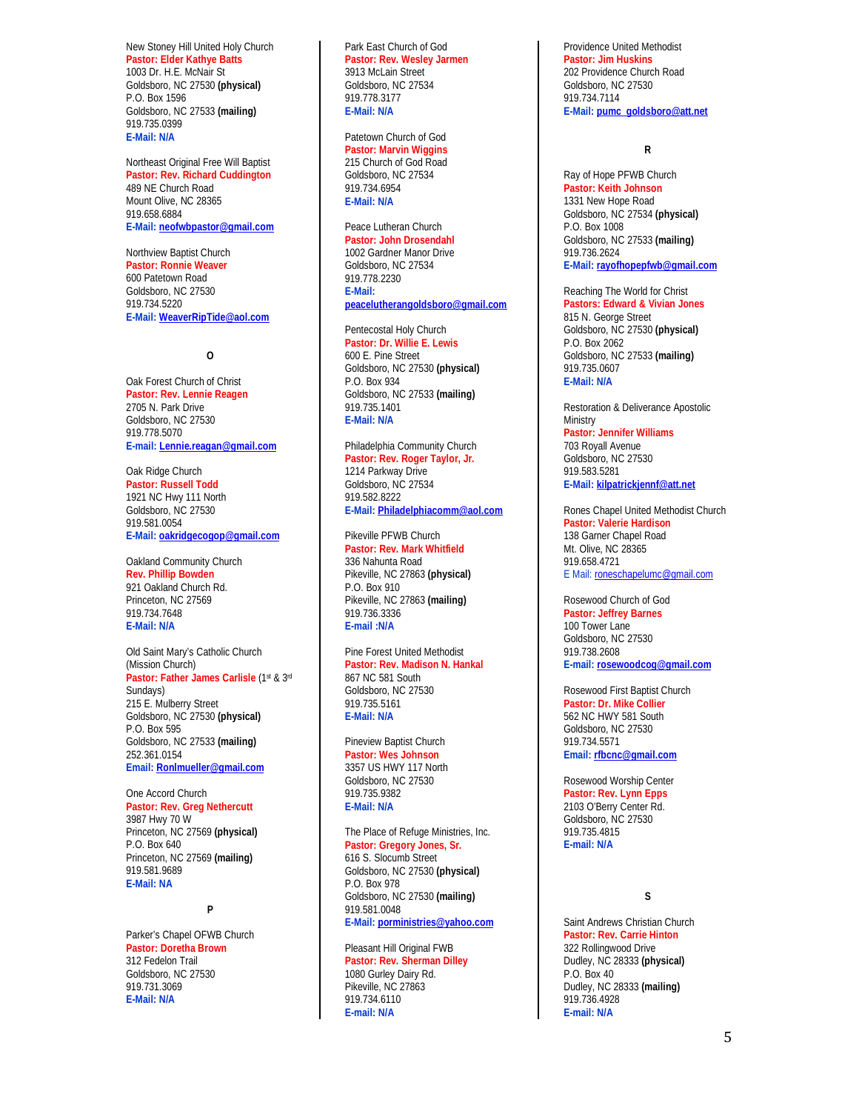New Stoney Hill United Holy Church **Pastor: Elder Kathye Batts** 1003 Dr. H.E. McNair St Goldsboro, NC 27530 **(physical)** P.O. Box 1596 Goldsboro, NC 27533 **(mailing)** 919.735.0399 **E-Mail: N/A**

Northeast Original Free Will Baptist **Pastor: Rev. Richard Cuddington**  489 NE Church Road Mount Olive, NC 28365 919.658.6884 **E-Mail[: neofwbpastor@gmail.com](mailto:neofwbpastor@gmail.com)**

Northview Baptist Church **Pastor: Ronnie Weaver** 600 Patetown Road Goldsboro, NC 27530 919.734.5220 **E-Mail[: WeaverRipTide@aol.com](mailto:WeaverRipTide@aol.com)**

**O**

Oak Forest Church of Christ **Pastor: Rev. Lennie Reagen** 2705 N. Park Drive Goldsboro, NC 27530 919.778.5070 **E-mail: [Lennie.reagan@gmail.com](mailto:Lennie.reagan@gmail.com)**

Oak Ridge Church **Pastor: Russell Todd** 1921 NC Hwy 111 North Goldsboro, NC 27530 919.581.0054 **E-Mail[: oakridgecogop@gmail.com](mailto:oakridgecogop@gmail.com)**

Oakland Community Church **Rev. Phillip Bowden** 921 Oakland Church Rd. Princeton, NC 27569 919.734.7648 **E-Mail: N/A**

Old Saint Mary's Catholic Church (Mission Church) Pastor: Father James Carlisle (1st & 3rd Sundays) 215 E. Mulberry Street Goldsboro, NC 27530 **(physical)** P.O. Box 595 Goldsboro, NC 27533 **(mailing)** 252.361.0154 **Email[: Ronlmueller@gmail.com](mailto:Ronlmueller@gmail.com)**

One Accord Church **Pastor: Rev. Greg Nethercutt** 3987 Hwy 70 W Princeton, NC 27569 **(physical)** P.O. Box 640 Princeton, NC 27569 **(mailing)** 919.581.9689 **E-Mail: NA**

#### **P**

Parker's Chapel OFWB Church **Pastor: Doretha Brown** 312 Fedelon Trail Goldsboro, NC 27530 919.731.3069 **E-Mail: N/A**

Park East Church of God **Pastor: Rev. Wesley Jarmen** 3913 McLain Street Goldsboro, NC 27534 919.778.3177 **E-Mail: N/A**

#### Patetown Church of God

**Pastor: Marvin Wiggins** 215 Church of God Road Goldsboro, NC 27534 919.734.6954 **E-Mail: N/A**

#### Peace Lutheran Church **Pastor: John Drosendahl**

1002 Gardner Manor Drive Goldsboro, NC 27534 919.778.2230 **E-Mail: [peacelutherangoldsboro@gmail.com](mailto:peacelutherangoldsboro@gmail.com)**

### Pentecostal Holy Church

**Pastor: Dr. Willie E. Lewis** 600 E. Pine Street Goldsboro, NC 27530 **(physical)** P.O. Box 934 Goldsboro, NC 27533 **(mailing)** 919.735.1401 **E-Mail: N/A**

Philadelphia Community Church **Pastor: Rev. Roger Taylor, Jr.** 1214 Parkway Drive Goldsboro, NC 27534 919.582.8222 **E-Mail[: Philadelphiacomm@aol.com](mailto:Philadelphiacomm@aol.com)**

# Pikeville PFWB Church

**Pastor: Rev. Mark Whitfield** 336 Nahunta Road Pikeville, NC 27863 **(physical)** P.O. Box 910 Pikeville, NC 27863 **(mailing)** 919.736.3336 **E-mail :N/A** 

Pine Forest United Methodist **Pastor: Rev. Madison N. Hankal** 867 NC 581 South Goldsboro, NC 27530 919.735.5161 **E-Mail: N/A**

#### Pineview Baptist Church **Pastor: Wes Johnson**

3357 US HWY 117 North Goldsboro, NC 27530 919.735.9382 **E-Mail: N/A**

The Place of Refuge Ministries, Inc. **Pastor: Gregory Jones, Sr.** 616 S. Slocumb Street Goldsboro, NC 27530 **(physical)** P.O. Box 978 Goldsboro, NC 27530 **(mailing)** 919.581.0048 **E-Mail[: porministries@yahoo.com](mailto:porministries@yahoo.com)**

#### Pleasant Hill Original FWB **Pastor: Rev. Sherman Dilley** 1080 Gurley Dairy Rd. Pikeville, NC 27863 919.734.6110 **E-mail: N/A**

Providence United Methodist **Pastor: Jim Huskins** 202 Providence Church Road Goldsboro, NC 27530 919.734.7114 **E-Mail[: pumc\\_goldsboro@att.net](mailto:pumc_goldsboro@att.net)**

#### **R**

Ray of Hope PFWB Church **Pastor: Keith Johnson** 1331 New Hope Road Goldsboro, NC 27534 **(physical)** P.O. Box 1008 Goldsboro, NC 27533 **(mailing)** 919.736.2624 **E-Mail[: rayofhopepfwb@gmail.com](mailto:rayofhopepfwb@gmail.com)**

Reaching The World for Christ **Pastors: Edward & Vivian Jones** 815 N. George Street Goldsboro, NC 27530 **(physical)** P.O. Box 2062 Goldsboro, NC 27533 **(mailing)** 919.735.0607 **E-Mail: N/A**

Restoration & Deliverance Apostolic **Ministry Pastor: Jennifer Williams** 703 Royall Avenue Goldsboro, NC 27530 919.583.5281 **E-Mail[: kilpatrickjennf@att.net](mailto:kilpatrickjennf@att.net)**

Rones Chapel United Methodist Church **Pastor: Valerie Hardison** 138 Garner Chapel Road Mt. Olive, NC 28365 919.658.4721 E Mail[: roneschapelumc@gmail.com](mailto:roneschapelumc@gmail.com)

#### Rosewood Church of God **Pastor: Jeffrey Barnes** 100 Tower Lane Goldsboro, NC 27530 919.738.2608

**E-mail[: rosewoodcog@gmail.com](mailto:rosewoodcog@gmail.com)**

Rosewood First Baptist Church **Pastor: Dr. Mike Collier** 562 NC HWY 581 South Goldsboro, NC 27530 919.734.5571 **Email: [rfbcnc@gmail.com](mailto:rfbcnc@gmail.com)**

Rosewood Worship Center **Pastor: Rev. Lynn Epps** 2103 O'Berry Center Rd. Goldsboro, NC 27530 919.735.4815 **E-mail: N/A**

# **S**

Saint Andrews Christian Church **Pastor: Rev. Carrie Hinton** 322 Rollingwood Drive Dudley, NC 28333 **(physical)** P.O. Box 40 Dudley, NC 28333 **(mailing)** 919.736.4928 **E-mail: N/A**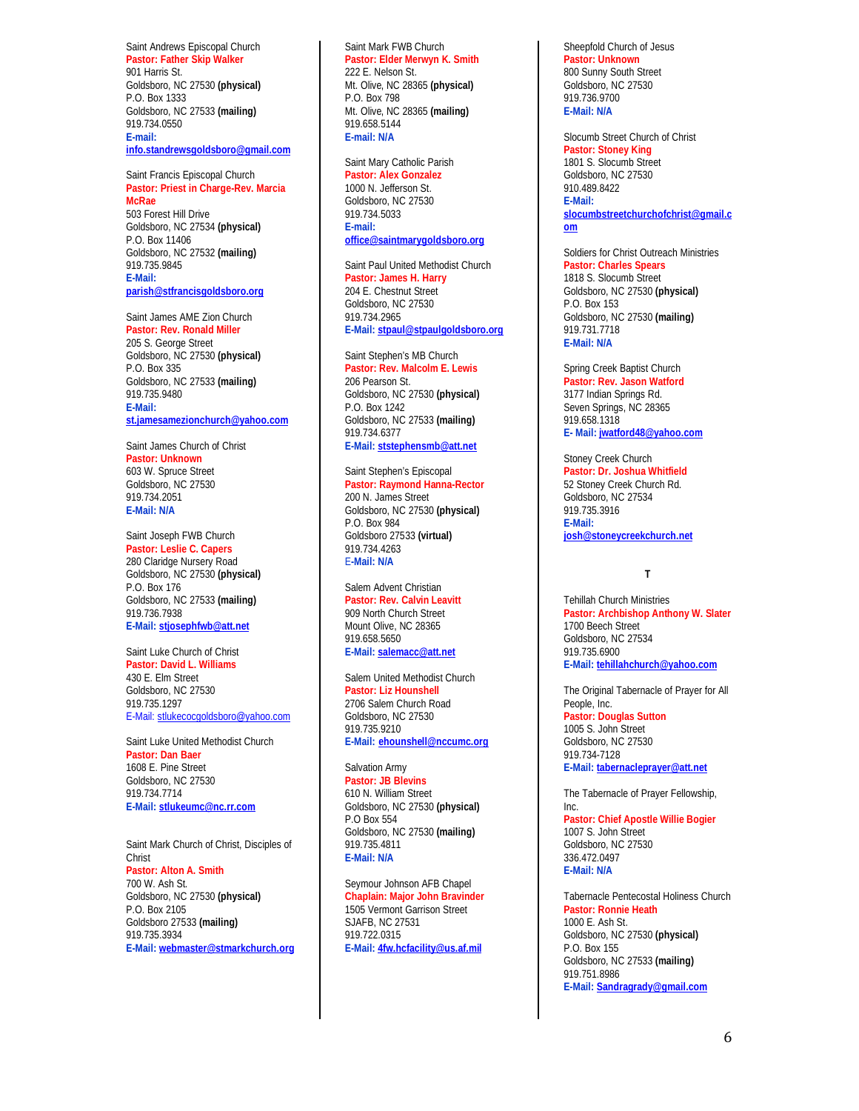# Saint Andrews Episcopal Church

**Pastor: Father Skip Walker** 901 Harris St. Goldsboro, NC 27530 **(physical)** P.O. Box 1333 Goldsboro, NC 27533 **(mailing)** 919.734.0550 **E-mail: [info.standrewsgoldsboro@gmail.com](mailto:info.standrewsgoldsboro@gmail.com)**

#### Saint Francis Episcopal Church **Pastor: Priest in Charge-Rev. Marcia McRae**  503 Forest Hill Drive Goldsboro, NC 27534 **(physical)** P.O. Box 11406 Goldsboro, NC 27532 **(mailing)** 919.735.9845 **E-Mail:**

**[parish@stfrancisgoldsboro.org](mailto:parish@stfrancisgoldsboro.org)**

Saint James AME Zion Church **Pastor: Rev. Ronald Miller** 205 S. George Street Goldsboro, NC 27530 **(physical)** P.O. Box 335 Goldsboro, NC 27533 **(mailing)** 919.735.9480 **E-Mail: [st.jamesamezionchurch@yahoo.com](mailto:st.jamesamezionchurch@yahoo.com)**

Saint James Church of Christ **Pastor: Unknown** 603 W. Spruce Street Goldsboro, NC 27530 919.734.2051 **E-Mail: N/A**

#### Saint Joseph FWB Church **Pastor: Leslie C. Capers** 280 Claridge Nursery Road Goldsboro, NC 27530 **(physical)** P.O. Box 176 Goldsboro, NC 27533 **(mailing)** 919.736.7938 **E-Mail[: stjosephfwb@att.net](mailto:stjosephfwb@att.net)**

Saint Luke Church of Christ **Pastor: David L. Williams** 430 E. Elm Street Goldsboro, NC 27530 919.735.1297 E-Mail: [stlukecocgoldsboro@yahoo.com](mailto:stlukecocgoldsboro@yahoo.com)

Saint Luke United Methodist Church **Pastor: Dan Baer** 1608 E. Pine Street Goldsboro, NC 27530 919.734.7714 **E-Mail[: stlukeumc@nc.rr.com](mailto:stlukeumc@nc.rr.com)**

Saint Mark Church of Christ, Disciples of Christ **Pastor: Alton A. Smith** 700 W. Ash St. Goldsboro, NC 27530 **(physical)** P.O. Box 2105 Goldsboro 27533 **(mailing)** 919.735.3934 **E-Mail[: webmaster@stmarkchurch.org](mailto:webmaster@stmarkchurch.org)**

#### Saint Mark FWB Church **Pastor: Elder Merwyn K. Smith** 222 E. Nelson St. Mt. Olive, NC 28365 **(physical)** P.O. Box 798 Mt. Olive, NC 28365 **(mailing)** 919.658.5144 **E-mail: N/A**

Saint Mary Catholic Parish **Pastor: Alex Gonzalez** 1000 N. Jefferson St. Goldsboro, NC 27530 919.734.5033 **E-mail: [office@saintmarygoldsboro.org](mailto:office@saintmarygoldsboro.org)**

Saint Paul United Methodist Church **Pastor: James H. Harry** 204 E. Chestnut Street Goldsboro, NC 27530 919.734.2965 **E-Mail[: stpaul@stpaulgoldsboro.org](mailto:stpaul@stpaulgoldsboro.org)**

Saint Stephen's MB Church **Pastor: Rev. Malcolm E. Lewis** 206 Pearson St. Goldsboro, NC 27530 **(physical)** P.O. Box 1242 Goldsboro, NC 27533 **(mailing)** 919.734.6377 **E-Mail: [ststephensmb@att.net](mailto:ststephensmb@att.net)**

Saint Stephen's Episcopal **Pastor: Raymond Hanna-Rector** 200 N. James Street Goldsboro, NC 27530 **(physical)** P.O. Box 984 Goldsboro 27533 **(virtual)** 919.734.4263 E**-Mail: N/A**

Salem Advent Christian **Pastor: Rev. Calvin Leavitt** 909 North Church Street Mount Olive, NC 28365 919.658.5650 **E-Mail[: salemacc@att.net](mailto:salemacc@att.net)**

Salem United Methodist Church **Pastor: Liz Hounshell** 2706 Salem Church Road Goldsboro, NC 27530 919.735.9210 **E-Mail: [ehounshell@nccumc.org](mailto:ehounshell@nccumc.org)**

# Salvation Army

**Pastor: JB Blevins** 610 N. William Street Goldsboro, NC 27530 **(physical)** P.O Box 554 Goldsboro, NC 27530 **(mailing)** 919.735.4811 **E-Mail: N/A**

Seymour Johnson AFB Chapel **Chaplain: Major John Bravinder** 1505 Vermont Garrison Street SJAFB, NC 27531 919.722.0315 **E-Mail[: 4fw.hcfacility@us.af.mil](mailto:4fw.hcfacility@us.af.mil)**

Sheepfold Church of Jesus **Pastor: Unknown** 800 Sunny South Street Goldsboro, NC 27530 919.736.9700 **E-Mail: N/A**

Slocumb Street Church of Christ **Pastor: Stoney King** 1801 S. Slocumb Street Goldsboro, NC 27530 910.489.8422 **E-Mail: [slocumbstreetchurchofchrist@gmail.c](mailto:slocumbstreetchurchofchrist@gmail.com) [om](mailto:slocumbstreetchurchofchrist@gmail.com)**

Soldiers for Christ Outreach Ministries **Pastor: Charles Spears** 1818 S. Slocumb Street Goldsboro, NC 27530 **(physical)** P.O. Box 153 Goldsboro, NC 27530 **(mailing)** 919.731.7718 **E-Mail: N/A**

Spring Creek Baptist Church **Pastor: Rev. Jason Watford** 3177 Indian Springs Rd. Seven Springs, NC 28365 919.658.1318 **E- Mail[: jwatford48@yahoo.com](mailto:jwatford48@yahoo.com)**

Stoney Creek Church **Pastor: Dr. Joshua Whitfield** 52 Stoney Creek Church Rd. Goldsboro, NC 27534 919.735.3916 **E-Mail: [josh@stoneycreekchurch.net](mailto:josh@stoneycreekchurch.net)**

### **T**

Tehillah Church Ministries **Pastor: Archbishop Anthony W. Slater** 1700 Beech Street Goldsboro, NC 27534 919.735.6900 **E-Mail[: tehillahchurch@yahoo.com](mailto:tehillahchurch@yahoo.com)**

The Original Tabernacle of Prayer for All People, Inc. **Pastor: Douglas Sutton** 1005 S. John Street Goldsboro, NC 27530 919.734-7128 **E-Mail[: tabernacleprayer@att.net](mailto:tabernacleprayer@att.net)**

The Tabernacle of Prayer Fellowship, Inc.

**Pastor: Chief Apostle Willie Bogier** 1007 S. John Street Goldsboro, NC 27530 336.472.0497 **E-Mail: N/A**

Tabernacle Pentecostal Holiness Church **Pastor: Ronnie Heath** 1000 E. Ash St. Goldsboro, NC 27530 **(physical)** P.O. Box 155 Goldsboro, NC 27533 **(mailing)** 919.751.8986 **E-Mail: [Sandragrady@gmail.com](mailto:Sandragrady@gmail.com)**